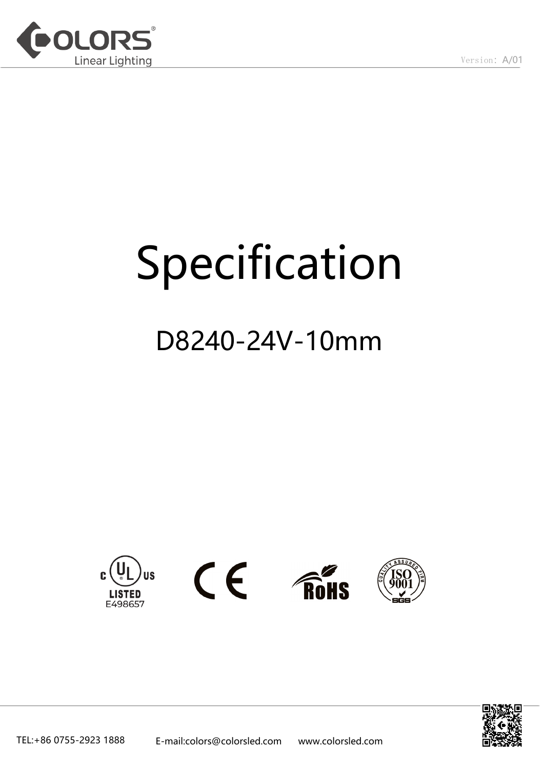

# Specification

## D8240-24V-10mm









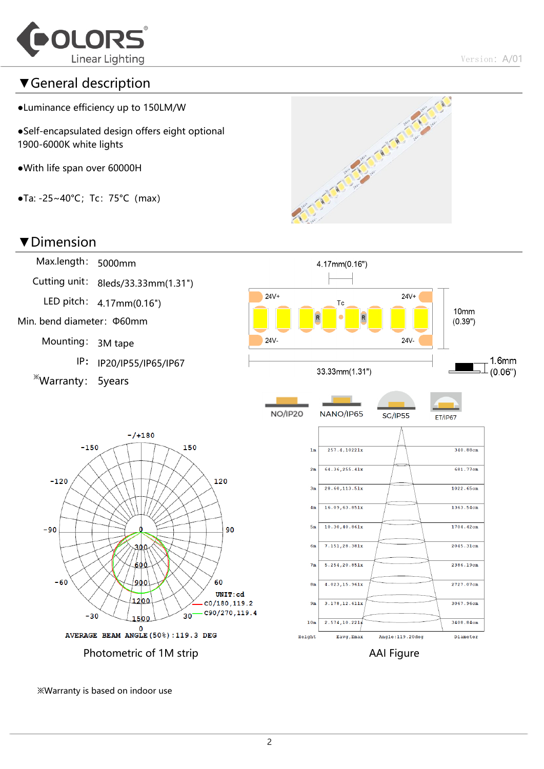

### ▼General description

- ●Luminance efficiency up to 150LM/W
- ●Self-encapsulated design offers eight optional 1900-6000K white lights
- ●With life span over 60000H
- $\bullet$ Ta: -25~40°C; Tc: 75°C (max)

#### ▼Dimension





※Warranty is based on indoor use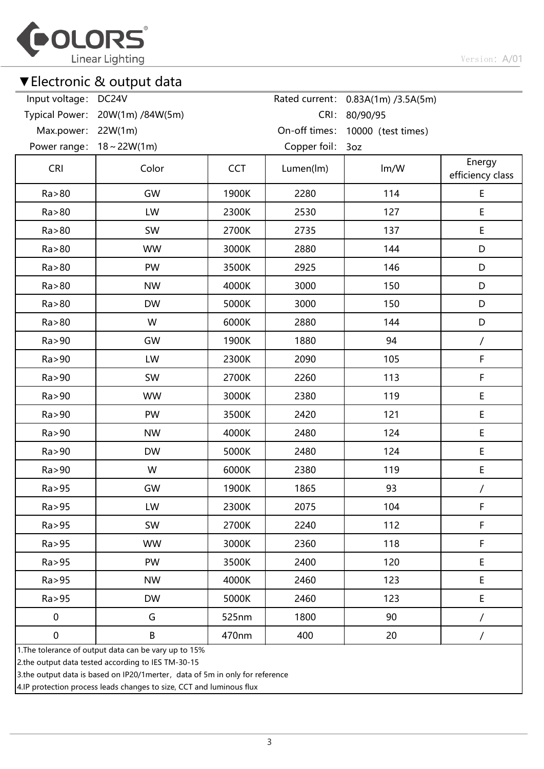

## ▼Electronic & output data

| Input voltage: DC24V  |                                                       |            |               | Rated current: 0.83A(1m) /3.5A(5m) |                            |
|-----------------------|-------------------------------------------------------|------------|---------------|------------------------------------|----------------------------|
| <b>Typical Power:</b> | 20W(1m) /84W(5m)                                      |            | CRI:          | 80/90/95                           |                            |
| Max.power:            | 22W(1m)                                               |            | On-off times: | 10000 (test times)                 |                            |
| Power range:          | $18 \sim 22W(1m)$                                     |            | Copper foil:  | 3oz                                |                            |
| <b>CRI</b>            | Color                                                 | <b>CCT</b> | Lumen(lm)     | Im/W                               | Energy<br>efficiency class |
| Ra > 80               | GW                                                    | 1900K      | 2280          | 114                                | $\mathsf E$                |
| Ra > 80               | LW                                                    | 2300K      | 2530          | 127                                | E                          |
| Ra > 80               | SW                                                    | 2700K      | 2735          | 137                                | E                          |
| Ra > 80               | <b>WW</b>                                             | 3000K      | 2880          | 144                                | D                          |
| Ra > 80               | PW                                                    | 3500K      | 2925          | 146                                | D                          |
| Ra > 80               | <b>NW</b>                                             | 4000K      | 3000          | 150                                | D                          |
| Ra > 80               | <b>DW</b>                                             | 5000K      | 3000          | 150                                | D                          |
| Ra > 80               | W                                                     | 6000K      | 2880          | 144                                | D                          |
| Ra > 90               | GW                                                    | 1900K      | 1880          | 94                                 | /                          |
| Ra > 90               | LW                                                    | 2300K      | 2090          | 105                                | F                          |
| Ra > 90               | SW                                                    | 2700K      | 2260          | 113                                | $\mathsf F$                |
| Ra > 90               | <b>WW</b>                                             | 3000K      | 2380          | 119                                | E                          |
| Ra > 90               | PW                                                    | 3500K      | 2420          | 121                                | E                          |
| Ra > 90               | <b>NW</b>                                             | 4000K      | 2480          | 124                                | $\mathsf E$                |
| Ra > 90               | <b>DW</b>                                             | 5000K      | 2480          | 124                                | $\mathsf E$                |
| Ra > 90               | W                                                     | 6000K      | 2380          | 119                                | $\mathsf E$                |
| Ra > 95               | GW                                                    | 1900K      | 1865          | 93                                 | $\prime$                   |
| Ra > 95               | LW                                                    | 2300K      | 2075          | 104                                | F                          |
| Ra > 95               | SW                                                    | 2700K      | 2240          | 112                                | $\mathsf F$                |
| Ra > 95               | <b>WW</b>                                             | 3000K      | 2360          | 118                                | F                          |
| Ra > 95               | PW                                                    | 3500K      | 2400          | 120                                | $\mathsf E$                |
| Ra > 95               | <b>NW</b>                                             | 4000K      | 2460          | 123                                | $\mathsf E$                |
| Ra > 95               | <b>DW</b>                                             | 5000K      | 2460          | 123                                | E                          |
| $\pmb{0}$             | G                                                     | 525nm      | 1800          | 90                                 | $\prime$                   |
| $\pmb{0}$             | B                                                     | 470nm      | 400           | 20                                 | $\overline{1}$             |
|                       | 1. The tolerance of output data can be vary up to 15% |            |               |                                    |                            |

2.the output data tested according to IES TM-30-15

3.the output data is based on IP20/1merter, data of 5m in only for reference

4.IP protection process leads changes to size, CCT and luminous flux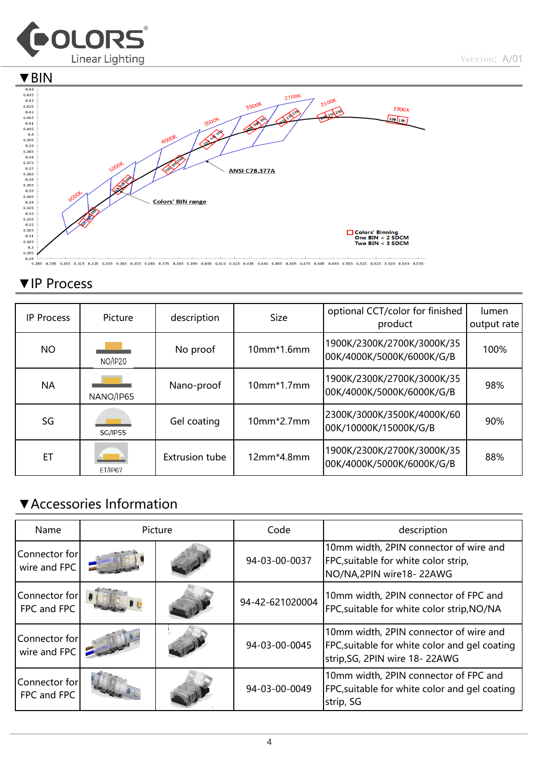



## ▼IP Process

| <b>IP Process</b> | Picture        | description           | <b>Size</b>  | optional CCT/color for finished<br>product              | lumen<br>output rate |
|-------------------|----------------|-----------------------|--------------|---------------------------------------------------------|----------------------|
| <b>NO</b>         | NO/IP20        | No proof              | 10mm*1.6mm   | 1900K/2300K/2700K/3000K/35<br>00K/4000K/5000K/6000K/G/B | 100%                 |
| <b>NA</b>         | NANO/IP65      | Nano-proof            | $10mm*1.7mm$ | 1900K/2300K/2700K/3000K/35<br>00K/4000K/5000K/6000K/G/B | 98%                  |
| SG                | <b>SG/IP55</b> | Gel coating           | 10mm*2.7mm   | 2300K/3000K/3500K/4000K/60<br>00K/10000K/15000K/G/B     | 90%                  |
| ET                | <b>ET/IP67</b> | <b>Extrusion tube</b> | 12mm*4.8mm   | 1900K/2300K/2700K/3000K/35<br>00K/4000K/5000K/6000K/G/B | 88%                  |

## ▼Accessories Information

| Name                          | Picture |  | Code            | description                                                                                                              |  |  |
|-------------------------------|---------|--|-----------------|--------------------------------------------------------------------------------------------------------------------------|--|--|
| Connector for<br>wire and FPC |         |  | 94-03-00-0037   | 10mm width, 2PIN connector of wire and<br>FPC, suitable for white color strip,<br>NO/NA, 2PIN wire 18-22AWG              |  |  |
| Connector for<br>FPC and FPC  |         |  | 94-42-621020004 | 10mm width, 2PIN connector of FPC and<br>FPC, suitable for white color strip, NO/NA                                      |  |  |
| Connector for<br>wire and FPC |         |  | 94-03-00-0045   | 10mm width, 2PIN connector of wire and<br>FPC, suitable for white color and gel coating<br>strip, SG, 2PIN wire 18-22AWG |  |  |
| Connector for<br>FPC and FPC  |         |  | 94-03-00-0049   | 10mm width, 2PIN connector of FPC and<br>FPC, suitable for white color and gel coating<br>strip, SG                      |  |  |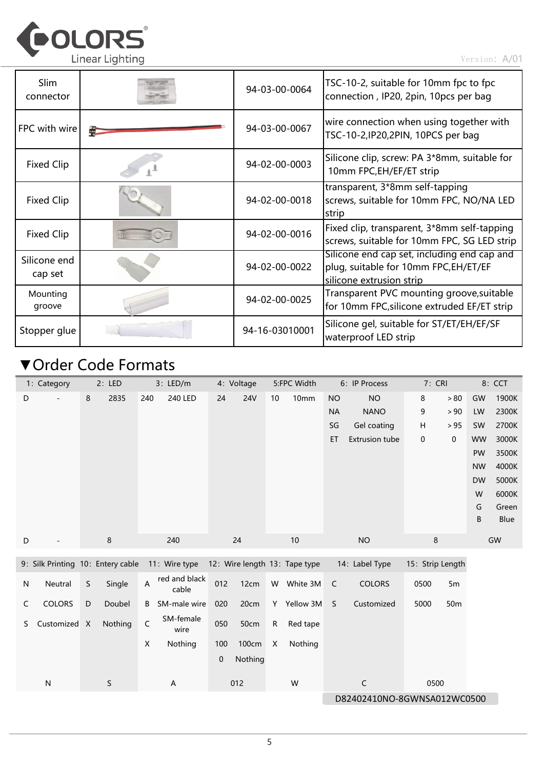

Version:A/01

| <b>Slim</b><br>connector | 94-03-00-0064  | TSC-10-2, suitable for 10mm fpc to fpc<br>connection, IP20, 2pin, 10pcs per bag                                  |
|--------------------------|----------------|------------------------------------------------------------------------------------------------------------------|
| FPC with wire            | 94-03-00-0067  | wire connection when using together with<br>TSC-10-2, IP20, 2PIN, 10PCS per bag                                  |
| Fixed Clip               | 94-02-00-0003  | Silicone clip, screw: PA 3*8mm, suitable for<br>10mm FPC, EH/EF/ET strip                                         |
| Fixed Clip               | 94-02-00-0018  | transparent, 3*8mm self-tapping<br>screws, suitable for 10mm FPC, NO/NA LED<br>strip                             |
| Fixed Clip               | 94-02-00-0016  | Fixed clip, transparent, 3*8mm self-tapping<br>screws, suitable for 10mm FPC, SG LED strip                       |
| Silicone end<br>cap set  | 94-02-00-0022  | Silicone end cap set, including end cap and<br>plug, suitable for 10mm FPC, EH/ET/EF<br>silicone extrusion strip |
| Mounting<br>groove       | 94-02-00-0025  | Transparent PVC mounting groove, suitable<br>for 10mm FPC, silicone extruded EF/ET strip                         |
| Stopper glue             | 94-16-03010001 | Silicone gel, suitable for ST/ET/EH/EF/SF<br>waterproof LED strip                                                |

## ▼Order Code Formats

|                             | 1: Category                       |   | 2: LED      |             | 3: LED/m               |     | 4: Voltage |           | 5:FPC Width                   |           | 6: IP Process         | 7: CRI           |                 |           | 8: CCT |
|-----------------------------|-----------------------------------|---|-------------|-------------|------------------------|-----|------------|-----------|-------------------------------|-----------|-----------------------|------------------|-----------------|-----------|--------|
| D                           |                                   | 8 | 2835        | 240         | <b>240 LED</b>         | 24  | <b>24V</b> | 10        | 10mm                          | <b>NO</b> | <b>NO</b>             | $\bf 8$          | > 80            | GW        | 1900K  |
|                             |                                   |   |             |             |                        |     |            |           |                               | <b>NA</b> | <b>NANO</b>           | 9                | > 90            | LW        | 2300K  |
|                             |                                   |   |             |             |                        |     |            |           |                               | SG        | Gel coating           | Н                | > 95            | SW        | 2700K  |
|                             |                                   |   |             |             |                        |     |            |           |                               | ET        | <b>Extrusion tube</b> | $\pmb{0}$        | 0               | <b>WW</b> | 3000K  |
|                             |                                   |   |             |             |                        |     |            |           |                               |           |                       |                  |                 | PW        | 3500K  |
|                             |                                   |   |             |             |                        |     |            |           |                               |           |                       |                  |                 | <b>NW</b> | 4000K  |
|                             |                                   |   |             |             |                        |     |            |           |                               |           |                       |                  |                 | <b>DW</b> | 5000K  |
|                             |                                   |   |             |             |                        |     |            |           |                               |           |                       |                  |                 | W         | 6000K  |
|                             |                                   |   |             |             |                        |     |            |           |                               |           |                       |                  |                 | G         | Green  |
|                             |                                   |   |             |             |                        |     |            |           |                               |           |                       |                  |                 | B         | Blue   |
| D                           |                                   |   | $\,8\,$     |             | 240                    |     | 24         |           | 10                            |           | <b>NO</b>             | $\bf 8$          |                 |           | GW     |
|                             | 9: Silk Printing 10: Entery cable |   |             |             | 11: Wire type          |     |            |           | 12: Wire length 13: Tape type |           | 14: Label Type        | 15: Strip Length |                 |           |        |
| N                           | Neutral                           | S | Single      | A           | red and black<br>cable | 012 | 12cm       |           | W White 3M                    | C         | <b>COLORS</b>         | 0500             | 5m              |           |        |
| C                           | <b>COLORS</b>                     | D | Doubel      | B           | SM-male wire           | 020 | 20cm       |           | Y Yellow 3M                   | S         | Customized            | 5000             | 50 <sub>m</sub> |           |        |
| S                           | Customized X                      |   | Nothing     | $\mathsf C$ | SM-female<br>wire      | 050 | 50cm       | ${\sf R}$ | Red tape                      |           |                       |                  |                 |           |        |
|                             |                                   |   |             | X           | Nothing                | 100 | 100cm      | X         | Nothing                       |           |                       |                  |                 |           |        |
|                             |                                   |   |             |             |                        | 0   | Nothing    |           |                               |           |                       |                  |                 |           |        |
|                             | ${\sf N}$                         |   | $\mathsf S$ |             | A                      |     | 012        |           | W                             |           | $\mathsf C$           | 0500             |                 |           |        |
| D82402410NO-8GWNSA012WC0500 |                                   |   |             |             |                        |     |            |           |                               |           |                       |                  |                 |           |        |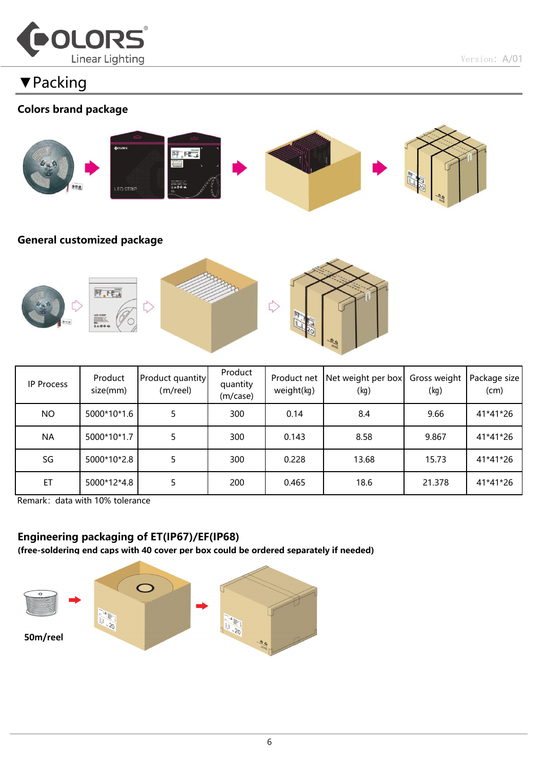

▼Packing

#### Colors brand package



#### General customized package



| IP Process | Product<br>size(mm) | Product quantity<br>(m/reel) | Product<br>quantity<br>(m/case) | Product net<br>weight(kg) | Net weight per box<br>(kg) | Gross weight<br>(kg) | Package size<br>(cm) |
|------------|---------------------|------------------------------|---------------------------------|---------------------------|----------------------------|----------------------|----------------------|
| <b>NO</b>  | 5000*10*1.6         |                              | 300                             | 0.14                      | 8.4                        | 9.66                 | 41*41*26             |
| <b>NA</b>  | 5000*10*1.7         |                              | 300                             | 0.143                     | 8.58                       | 9.867                | 41*41*26             |
| SG         | 5000*10*2.8         |                              | 300                             | 0.228                     | 13.68                      | 15.73                | 41*41*26             |
| ET         | 5000*12*4.8         |                              | 200                             | 0.465                     | 18.6                       | 21.378               | 41*41*26             |

Remark: data with 10% tolerance

#### Engineering packaging of ET(IP67)/EF(IP68)

(free-soldering end caps with 40 cover per box could be ordered separately if needed)